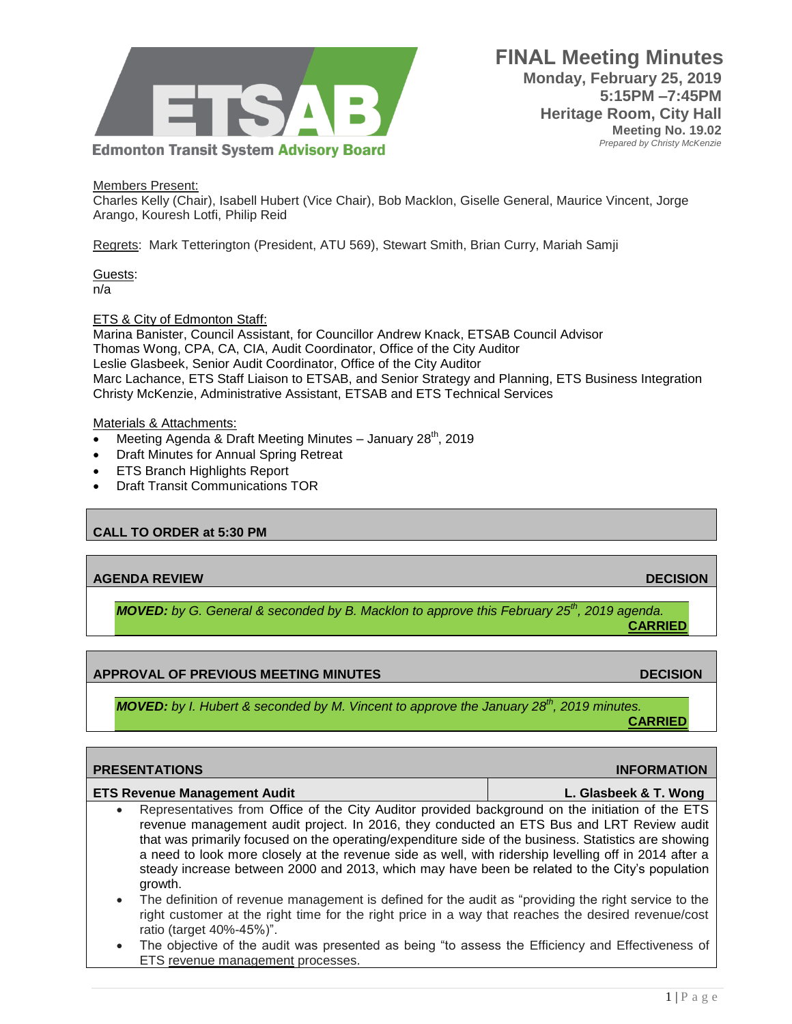

Members Present:

Charles Kelly (Chair), Isabell Hubert (Vice Chair), Bob Macklon, Giselle General, Maurice Vincent, Jorge Arango, Kouresh Lotfi, Philip Reid

Regrets: Mark Tetterington (President, ATU 569), Stewart Smith, Brian Curry, Mariah Samji

Guests: n/a

ETS & City of Edmonton Staff:

Marina Banister, Council Assistant, for Councillor Andrew Knack, ETSAB Council Advisor Thomas Wong, CPA, CA, CIA, Audit Coordinator, Office of the City Auditor Leslie Glasbeek, Senior Audit Coordinator, Office of the City Auditor Marc Lachance, ETS Staff Liaison to ETSAB, and Senior Strategy and Planning, ETS Business Integration Christy McKenzie, Administrative Assistant, ETSAB and ETS Technical Services

Materials & Attachments:

- Meeting Agenda & Draft Meeting Minutes January  $28<sup>th</sup>$ , 2019
- Draft Minutes for Annual Spring Retreat
- ETS Branch Highlights Report
- Draft Transit Communications TOR

# **CALL TO ORDER at 5:30 PM**

#### **AGENDA REVIEW DECISION**

*MOVED: by G. General & seconded by B. Macklon to approve this February 25th, 2019 agenda.* **CARRIED**

**APPROVAL OF PREVIOUS MEETING MINUTES ARE ALSO ASSESSED ASSOCIATE** DECISION

*MOVED: by I. Hubert & seconded by M. Vincent to approve the January 28th, 2019 minutes.* **CARRIED**

| <b>PRESENTATIONS</b>                                                                                                                                                                                                                                                                                                                                                                                                                                                                                                                     | <b>INFORMATION</b>    |
|------------------------------------------------------------------------------------------------------------------------------------------------------------------------------------------------------------------------------------------------------------------------------------------------------------------------------------------------------------------------------------------------------------------------------------------------------------------------------------------------------------------------------------------|-----------------------|
| <b>ETS Revenue Management Audit</b>                                                                                                                                                                                                                                                                                                                                                                                                                                                                                                      | L. Glasbeek & T. Wong |
| Representatives from Office of the City Auditor provided background on the initiation of the ETS<br>$\bullet$<br>revenue management audit project. In 2016, they conducted an ETS Bus and LRT Review audit<br>that was primarily focused on the operating/expenditure side of the business. Statistics are showing<br>a need to look more closely at the revenue side as well, with ridership levelling off in 2014 after a<br>steady increase between 2000 and 2013, which may have been be related to the City's population<br>growth. |                       |
| The definition of revenue management is defined for the audit as "providing the right service to the<br>$\bullet$<br>right customer at the right time for the right price in a way that reaches the desired revenue/cost<br>ratio (target 40%-45%)".                                                                                                                                                                                                                                                                                     |                       |
| The ebienting of the cudit was presented as being "to consec the Filipianou and Filipingson of                                                                                                                                                                                                                                                                                                                                                                                                                                           |                       |

 The objective of the audit was presented as being "to assess the Efficiency and Effectiveness of ETS revenue management processes.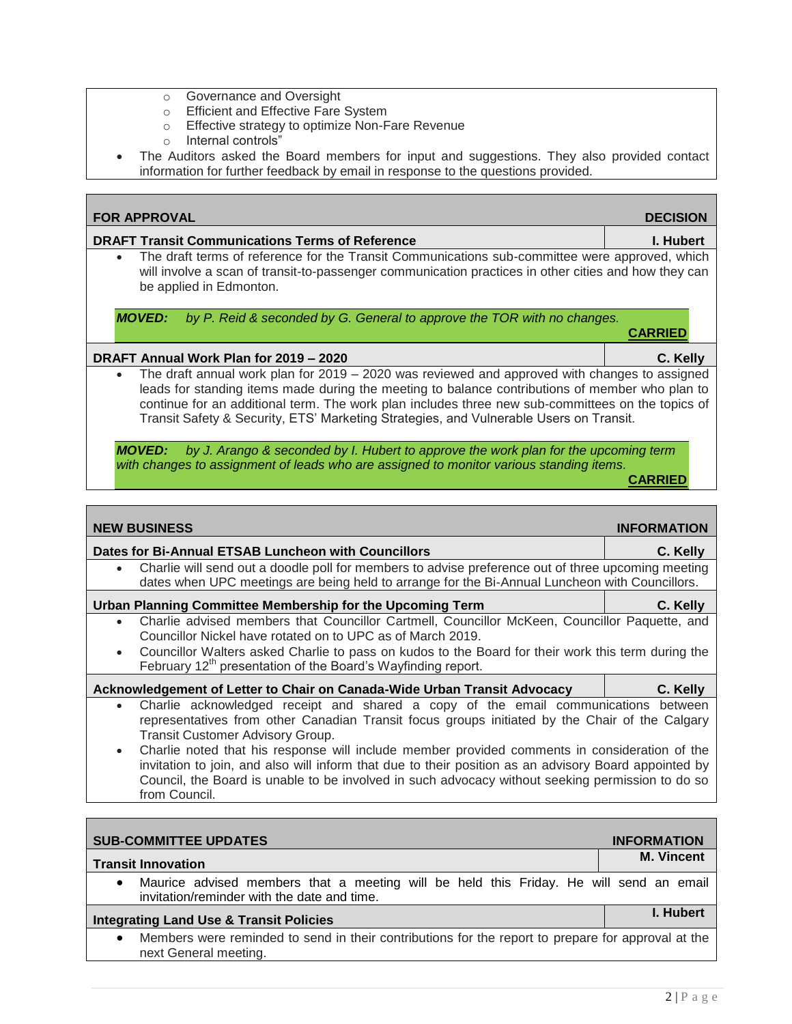- o Governance and Oversight
- o Efficient and Effective Fare System
- o Effective strategy to optimize Non-Fare Revenue
- o Internal controls"
- The Auditors asked the Board members for input and suggestions. They also provided contact information for further feedback by email in response to the questions provided.

### **FOR APPROVAL DECISION**

# **DRAFT Transit Communications Terms of Reference I. Hubert**

 The draft terms of reference for the Transit Communications sub-committee were approved, which will involve a scan of transit-to-passenger communication practices in other cities and how they can be applied in Edmonton.

*MOVED: by P. Reid & seconded by G. General to approve the TOR with no changes.*  **CARRIED**

# **DRAFT Annual Work Plan for 2019 – 2020 C. Kelly**

 The draft annual work plan for 2019 – 2020 was reviewed and approved with changes to assigned leads for standing items made during the meeting to balance contributions of member who plan to continue for an additional term. The work plan includes three new sub-committees on the topics of Transit Safety & Security, ETS' Marketing Strategies, and Vulnerable Users on Transit.

*MOVED: by J. Arango & seconded by I. Hubert to approve the work plan for the upcoming term with changes to assignment of leads who are assigned to monitor various standing items.* 

**CARRIED**

| <b>NEW BUSINESS</b>                                                                                                                                                                                                                                                                                                                                                                                                                                                                                                                                                               | <b>INFORMATION</b> |  |
|-----------------------------------------------------------------------------------------------------------------------------------------------------------------------------------------------------------------------------------------------------------------------------------------------------------------------------------------------------------------------------------------------------------------------------------------------------------------------------------------------------------------------------------------------------------------------------------|--------------------|--|
| Dates for Bi-Annual ETSAB Luncheon with Councillors                                                                                                                                                                                                                                                                                                                                                                                                                                                                                                                               | C. Kelly           |  |
| Charlie will send out a doodle poll for members to advise preference out of three upcoming meeting<br>$\bullet$<br>dates when UPC meetings are being held to arrange for the Bi-Annual Luncheon with Councillors.                                                                                                                                                                                                                                                                                                                                                                 |                    |  |
| Urban Planning Committee Membership for the Upcoming Term                                                                                                                                                                                                                                                                                                                                                                                                                                                                                                                         | C. Kelly           |  |
| Charlie advised members that Councillor Cartmell, Councillor McKeen, Councillor Paquette, and<br>$\bullet$<br>Councillor Nickel have rotated on to UPC as of March 2019.<br>Councillor Walters asked Charlie to pass on kudos to the Board for their work this term during the<br>$\bullet$<br>February 12 <sup>th</sup> presentation of the Board's Wayfinding report.                                                                                                                                                                                                           |                    |  |
| Acknowledgement of Letter to Chair on Canada-Wide Urban Transit Advocacy                                                                                                                                                                                                                                                                                                                                                                                                                                                                                                          | C. Kelly           |  |
| Charlie acknowledged receipt and shared a copy of the email communications between<br>$\bullet$<br>representatives from other Canadian Transit focus groups initiated by the Chair of the Calgary<br>Transit Customer Advisory Group.<br>Charlie noted that his response will include member provided comments in consideration of the<br>$\bullet$<br>invitation to join, and also will inform that due to their position as an advisory Board appointed by<br>Council, the Board is unable to be involved in such advocacy without seeking permission to do so<br>from Council. |                    |  |
|                                                                                                                                                                                                                                                                                                                                                                                                                                                                                                                                                                                   |                    |  |
| <b>SUB-COMMITTEE UPDATES</b>                                                                                                                                                                                                                                                                                                                                                                                                                                                                                                                                                      | <b>INFORMATION</b> |  |
| <b>Transit Innovation</b>                                                                                                                                                                                                                                                                                                                                                                                                                                                                                                                                                         | <b>M. Vincent</b>  |  |
| Maurice advised members that a meeting will be held this Friday. He will send an email<br>$\bullet$<br>invitation/reminder with the date and time.                                                                                                                                                                                                                                                                                                                                                                                                                                |                    |  |
| <b>Integrating Land Use &amp; Transit Policies</b>                                                                                                                                                                                                                                                                                                                                                                                                                                                                                                                                | I. Hubert          |  |
| Members were reminded to send in their contributions for the report to prepare for approval at the<br>next General meeting.                                                                                                                                                                                                                                                                                                                                                                                                                                                       |                    |  |
|                                                                                                                                                                                                                                                                                                                                                                                                                                                                                                                                                                                   |                    |  |